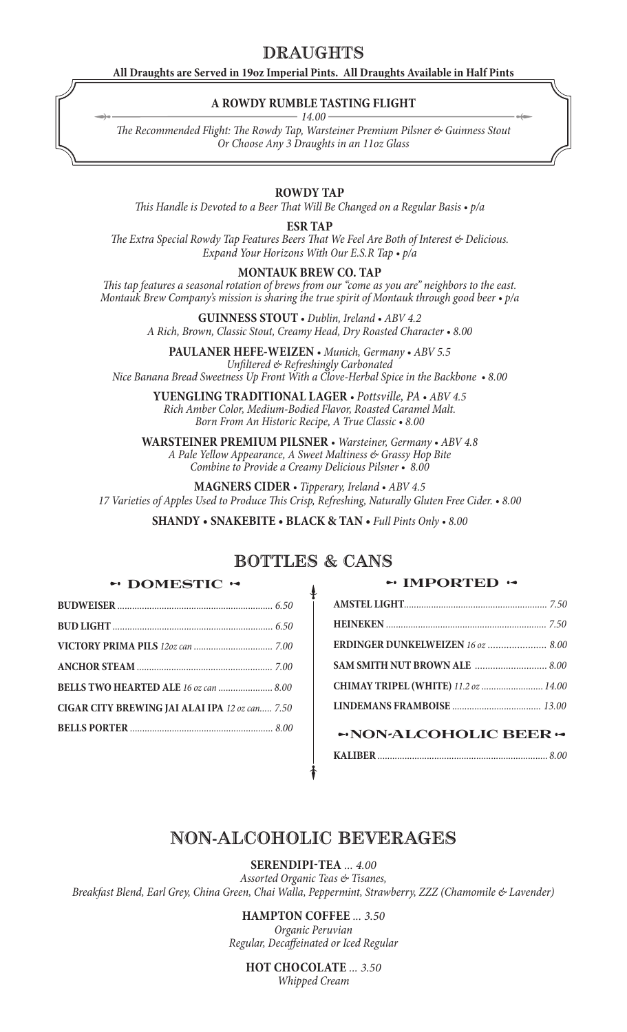## **DRAUGHTS**

#### **All Draughts are Served in 19oz Imperial Pints. All Draughts Available in Half Pints**

### **A ROWDY RUMBLE TASTING FLIGHT**

*14.00 The Recommended Flight: The Rowdy Tap, Warsteiner Premium Pilsner & Guinness Stout Or Choose Any 3 Draughts in an 11oz Glass*

#### **ROWDY TAP**

*This Handle is Devoted to a Beer That Will Be Changed on a Regular Basis • p/a*

**ESR TAP**

*The Extra Special Rowdy Tap Features Beers That We Feel Are Both of Interest & Delicious. Expand Your Horizons With Our E.S.R Tap • p/a*

#### **MONTAUK BREW CO. TAP**

*This tap features a seasonal rotation of brews from our "come as you are" neighbors to the east. Montauk Brew Company's mission is sharing the true spirit of Montauk through good beer • p/a*

> **GUINNESS STOUT** *• Dublin, Ireland • ABV 4.2 A Rich, Brown, Classic Stout, Creamy Head, Dry Roasted Character • 8.00*

**PAULANER HEFE-WEIZEN** *• Munich, Germany • ABV 5.5 Unfiltered & Refreshingly Carbonated Nice Banana Bread Sweetness Up Front With a Clove-Herbal Spice in the Backbone • 8.00*

**YUENGLING TRADITIONAL LAGER** *• Pottsville, PA • ABV 4.5 Rich Amber Color, Medium-Bodied Flavor, Roasted Caramel Malt. Born From An Historic Recipe, A True Classic • 8.00* 

**WARSTEINER PREMIUM PILSNER** *• Warsteiner, Germany • ABV 4.8 A Pale Yellow Appearance, A Sweet Maltiness & Grassy Hop Bite Combine to Provide a Creamy Delicious Pilsner • 8.00*

**MAGNERS CIDER** *• Tipperary, Ireland • ABV 4.5 17 Varieties of Apples Used to Produce This Crisp, Refreshing, Naturally Gluten Free Cider. • 8.00*

**SHANDY • SNAKEBITE • BLACK & TAN •** *Full Pints Only • 8.00*

## **BOTTLES & CANS**

### **" DOMESTIC "**

| BELLS TWO HEARTED ALE 16 oz can  8.00          |
|------------------------------------------------|
| CIGAR CITY BREWING JAI ALAI IPA 12 oz can 7.50 |
|                                                |
|                                                |

#### **"IMPORTED "**

| ERDINGER DUNKELWEIZEN 16 oz  8.00            |  |
|----------------------------------------------|--|
| SAM SMITH NUT BROWN ALE  8.00                |  |
| CHIMAY TRIPEL (WHITE) 11.2 oz  14.00         |  |
|                                              |  |
| <b><i><sup>⊷</sup>NON-ALCOHOLIC BEER</i></b> |  |
|                                              |  |

# **NON-ALCOHOLIC BEVERAGES**

**SERENDIPI-TEA** *... 4.00*

*Assorted Organic Teas & Tisanes, Breakfast Blend, Earl Grey, China Green, Chai Walla, Peppermint, Strawberry, ZZZ (Chamomile & Lavender)*

**HAMPTON COFFEE** *... 3.50*

*Organic Peruvian Regular, Decaffeinated or Iced Regular*

> **HOT CHOCOLATE** *... 3.50 Whipped Cream*